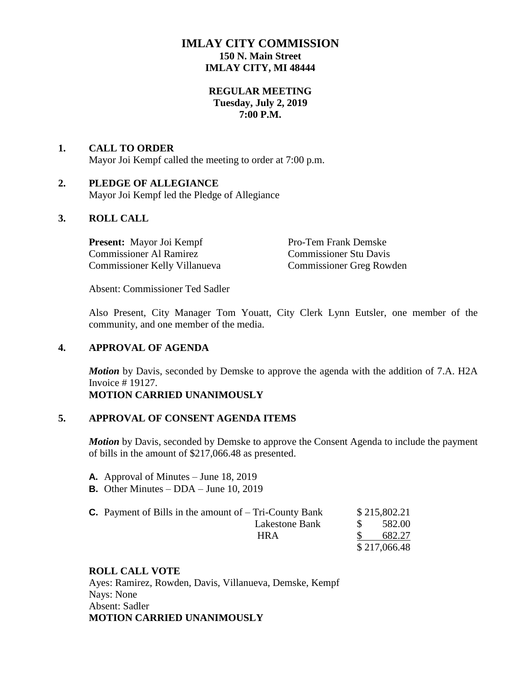## **IMLAY CITY COMMISSION 150 N. Main Street IMLAY CITY, MI 48444**

### **REGULAR MEETING Tuesday, July 2, 2019 7:00 P.M.**

## **1. CALL TO ORDER** Mayor Joi Kempf called the meeting to order at 7:00 p.m.

### **2. PLEDGE OF ALLEGIANCE**

Mayor Joi Kempf led the Pledge of Allegiance

### **3. ROLL CALL**

**Present:** Mayor Joi Kempf Pro-Tem Frank Demske Commissioner Al Ramirez Commissioner Stu Davis Commissioner Kelly Villanueva Commissioner Greg Rowden

Absent: Commissioner Ted Sadler

Also Present, City Manager Tom Youatt, City Clerk Lynn Eutsler, one member of the community, and one member of the media.

### **4. APPROVAL OF AGENDA**

*Motion* by Davis, seconded by Demske to approve the agenda with the addition of 7.A. H2A Invoice # 19127.

### **MOTION CARRIED UNANIMOUSLY**

#### **5. APPROVAL OF CONSENT AGENDA ITEMS**

*Motion* by Davis, seconded by Demske to approve the Consent Agenda to include the payment of bills in the amount of \$217,066.48 as presented.

- **A.** Approval of Minutes June 18, 2019
- **B.** Other Minutes DDA June 10, 2019

| <b>C.</b> Payment of Bills in the amount of $-$ Tri-County Bank |              | \$215,802.21 |  |
|-----------------------------------------------------------------|--------------|--------------|--|
| Lakestone Bank                                                  |              | 582.00       |  |
| <b>HRA</b>                                                      |              | 682.27       |  |
|                                                                 | \$217,066.48 |              |  |

### **ROLL CALL VOTE**

Ayes: Ramirez, Rowden, Davis, Villanueva, Demske, Kempf Nays: None Absent: Sadler **MOTION CARRIED UNANIMOUSLY**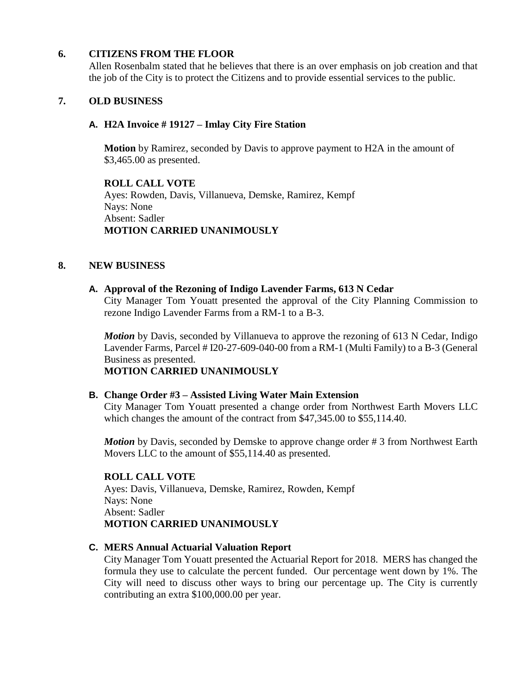### **6. CITIZENS FROM THE FLOOR**

Allen Rosenbalm stated that he believes that there is an over emphasis on job creation and that the job of the City is to protect the Citizens and to provide essential services to the public.

### **7. OLD BUSINESS**

### **A. H2A Invoice # 19127 – Imlay City Fire Station**

**Motion** by Ramirez, seconded by Davis to approve payment to H2A in the amount of \$3,465.00 as presented.

**ROLL CALL VOTE** Ayes: Rowden, Davis, Villanueva, Demske, Ramirez, Kempf Nays: None Absent: Sadler **MOTION CARRIED UNANIMOUSLY**

#### **8. NEW BUSINESS**

#### **A. Approval of the Rezoning of Indigo Lavender Farms, 613 N Cedar**

City Manager Tom Youatt presented the approval of the City Planning Commission to rezone Indigo Lavender Farms from a RM-1 to a B-3.

*Motion* by Davis, seconded by Villanueva to approve the rezoning of 613 N Cedar, Indigo Lavender Farms, Parcel # I20-27-609-040-00 from a RM-1 (Multi Family) to a B-3 (General Business as presented.

### **MOTION CARRIED UNANIMOUSLY**

#### **B. Change Order #3 – Assisted Living Water Main Extension**

City Manager Tom Youatt presented a change order from Northwest Earth Movers LLC which changes the amount of the contract from \$47,345.00 to \$55,114.40.

*Motion* by Davis, seconded by Demske to approve change order # 3 from Northwest Earth Movers LLC to the amount of \$55,114.40 as presented.

#### **ROLL CALL VOTE**

Ayes: Davis, Villanueva, Demske, Ramirez, Rowden, Kempf Nays: None Absent: Sadler **MOTION CARRIED UNANIMOUSLY**

#### **C. MERS Annual Actuarial Valuation Report**

City Manager Tom Youatt presented the Actuarial Report for 2018. MERS has changed the formula they use to calculate the percent funded. Our percentage went down by 1%. The City will need to discuss other ways to bring our percentage up. The City is currently contributing an extra \$100,000.00 per year.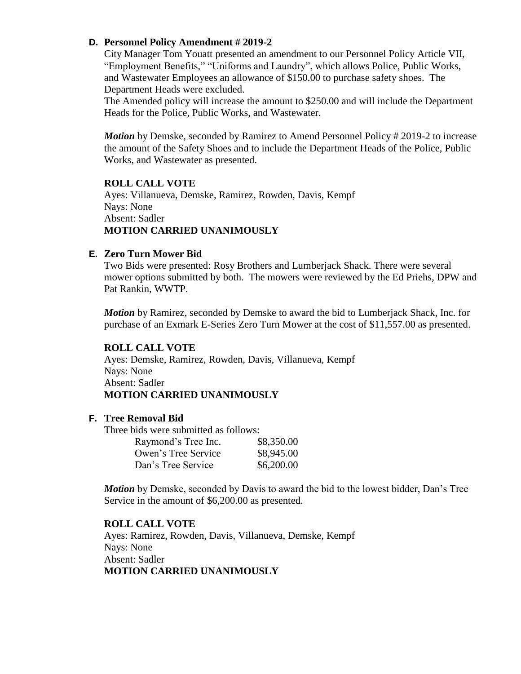#### **D. Personnel Policy Amendment # 2019-2**

City Manager Tom Youatt presented an amendment to our Personnel Policy Article VII, "Employment Benefits," "Uniforms and Laundry", which allows Police, Public Works, and Wastewater Employees an allowance of \$150.00 to purchase safety shoes. The Department Heads were excluded.

The Amended policy will increase the amount to \$250.00 and will include the Department Heads for the Police, Public Works, and Wastewater.

*Motion* by Demske, seconded by Ramirez to Amend Personnel Policy # 2019-2 to increase the amount of the Safety Shoes and to include the Department Heads of the Police, Public Works, and Wastewater as presented.

### **ROLL CALL VOTE**

Ayes: Villanueva, Demske, Ramirez, Rowden, Davis, Kempf Nays: None Absent: Sadler **MOTION CARRIED UNANIMOUSLY**

#### **E. Zero Turn Mower Bid**

Two Bids were presented: Rosy Brothers and Lumberjack Shack. There were several mower options submitted by both. The mowers were reviewed by the Ed Priehs, DPW and Pat Rankin, WWTP.

*Motion* by Ramirez, seconded by Demske to award the bid to Lumberjack Shack, Inc. for purchase of an Exmark E-Series Zero Turn Mower at the cost of \$11,557.00 as presented.

### **ROLL CALL VOTE**

Ayes: Demske, Ramirez, Rowden, Davis, Villanueva, Kempf Nays: None Absent: Sadler **MOTION CARRIED UNANIMOUSLY**

#### **F. Tree Removal Bid**

Three bids were submitted as follows:

| Raymond's Tree Inc. | \$8,350.00 |
|---------------------|------------|
| Owen's Tree Service | \$8,945.00 |
| Dan's Tree Service  | \$6,200.00 |

*Motion* by Demske, seconded by Davis to award the bid to the lowest bidder, Dan's Tree Service in the amount of \$6,200.00 as presented.

#### **ROLL CALL VOTE**

Ayes: Ramirez, Rowden, Davis, Villanueva, Demske, Kempf Nays: None Absent: Sadler **MOTION CARRIED UNANIMOUSLY**